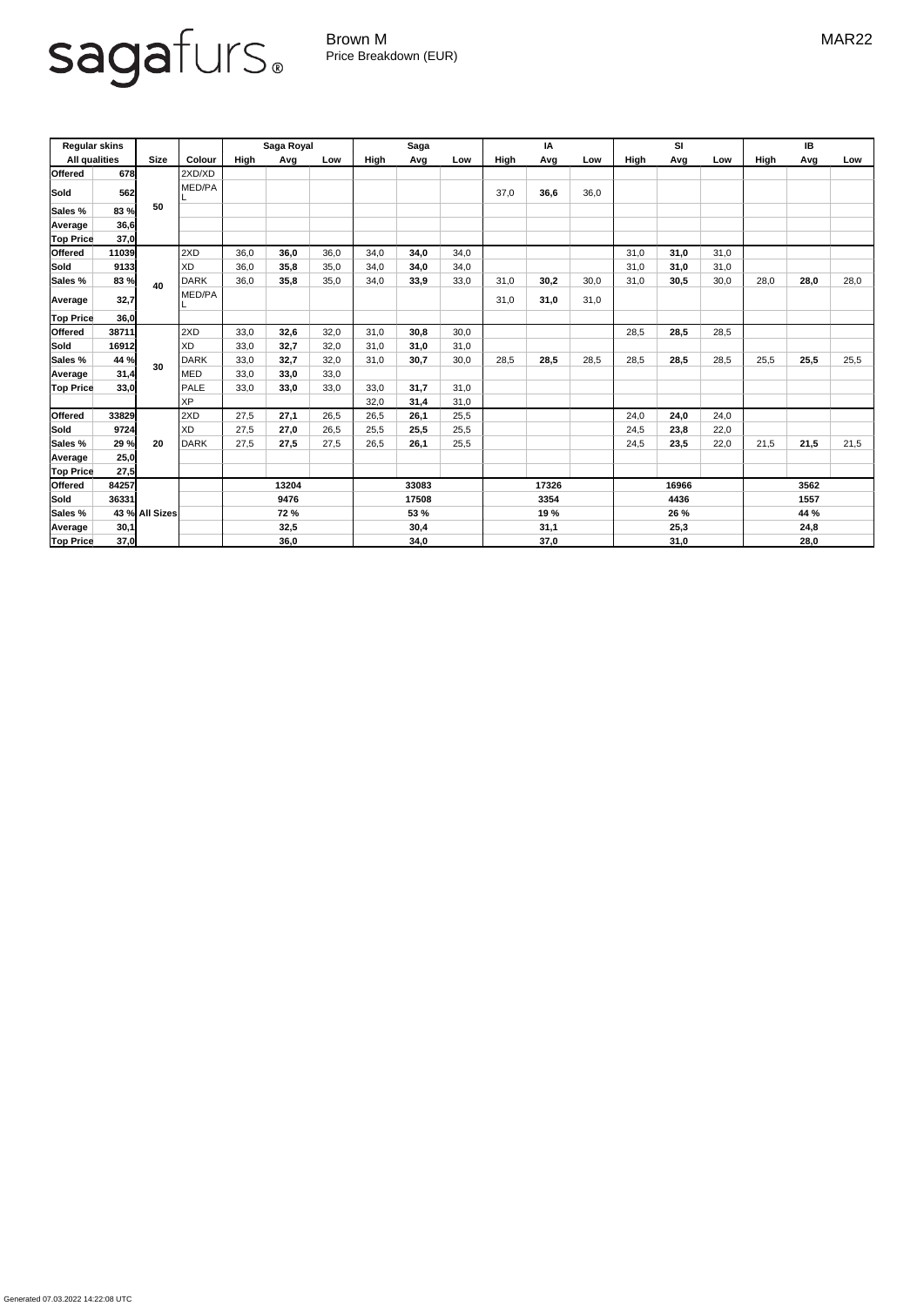Generated 07.03.2022 14:22:08 UTC

## sagafurs.

Brown M MAR22 Price Breakdown (EUR)

| <b>Regular skins</b><br><b>All qualities</b> |       | <b>Size</b>    | <b>Colour</b> | Saga Royal  |      |       | <b>Saga</b> |              |      | IA           |      |      | <b>SI</b>    |      |      | IB   |      |      |
|----------------------------------------------|-------|----------------|---------------|-------------|------|-------|-------------|--------------|------|--------------|------|------|--------------|------|------|------|------|------|
|                                              |       |                |               | High        | Avg  | Low   | High        | Avg          | Low  | <b>High</b>  | Avg  | Low  | <b>High</b>  | Avg  | Low  | High | Avg  | Low  |
| <b>Offered</b>                               | 678   |                | 2XD/XD        |             |      |       |             |              |      |              |      |      |              |      |      |      |      |      |
| Sold                                         | 562   |                | MED/PA        |             |      |       |             |              |      | 37,0         | 36,6 | 36,0 |              |      |      |      |      |      |
| <b>Sales %</b>                               | 83 %  | 50             |               |             |      |       |             |              |      |              |      |      |              |      |      |      |      |      |
| Average                                      | 36,6  |                |               |             |      |       |             |              |      |              |      |      |              |      |      |      |      |      |
| <b>Top Price</b>                             | 37,0  |                |               |             |      |       |             |              |      |              |      |      |              |      |      |      |      |      |
| <b>Offered</b>                               | 11039 |                | 2XD           | 36,0        | 36,0 | 36,0  | 34,0        | 34,0         | 34,0 |              |      |      | 31,0         | 31,0 | 31,0 |      |      |      |
| <b>Sold</b>                                  | 9133  |                | <b>XD</b>     | 36,0        | 35,8 | 35,0  | 34,0        | 34,0         | 34,0 |              |      |      | 31,0         | 31,0 | 31,0 |      |      |      |
| <b>Sales %</b>                               | 83 %  | 40             | <b>DARK</b>   | 36,0        | 35,8 | 35,0  | 34,0        | 33,9         | 33,0 | 31,0         | 30,2 | 30,0 | 31,0         | 30,5 | 30,0 | 28,0 | 28,0 | 28,0 |
| <b>Average</b>                               | 32,7  |                | MED/PA        |             |      |       |             |              |      | 31,0         | 31,0 | 31,0 |              |      |      |      |      |      |
| <b>Top Price</b>                             | 36,0  |                |               |             |      |       |             |              |      |              |      |      |              |      |      |      |      |      |
| <b>Offered</b>                               | 38711 |                | 2XD           | 33,0        | 32,6 | 32,0  | 31,0        | 30,8         | 30,0 |              |      |      | 28,5         | 28,5 | 28,5 |      |      |      |
| Sold                                         | 16912 |                | <b>XD</b>     | 33,0        | 32,7 | 32,0  | 31,0        | 31,0         | 31,0 |              |      |      |              |      |      |      |      |      |
| <b>Sales %</b>                               | 44 %  | 30             | <b>DARK</b>   | 33,0        | 32,7 | 32,0  | 31,0        | 30,7         | 30,0 | 28,5         | 28,5 | 28,5 | 28,5         | 28,5 | 28,5 | 25,5 | 25,5 | 25,5 |
| Average                                      | 31,4  |                | <b>MED</b>    | 33,0        | 33,0 | 33,0  |             |              |      |              |      |      |              |      |      |      |      |      |
| <b>Top Price</b>                             | 33,0  |                | <b>PALE</b>   | 33,0        | 33,0 | 33,0  | 33,0        | 31,7         | 31,0 |              |      |      |              |      |      |      |      |      |
|                                              |       |                | <b>XP</b>     |             |      |       | 32,0        | 31,4         | 31,0 |              |      |      |              |      |      |      |      |      |
| <b>Offered</b>                               | 33829 |                | 2XD           | 27,5        | 27,1 | 26,5  | 26,5        | 26,1         | 25,5 |              |      |      | 24,0         | 24,0 | 24,0 |      |      |      |
| Sold                                         | 9724  |                | <b>XD</b>     | 27,5        | 27,0 | 26,5  | 25,5        | 25,5         | 25,5 |              |      |      | 24,5         | 23,8 | 22,0 |      |      |      |
| Sales %                                      | 29 %  | 20             | <b>DARK</b>   | 27,5        | 27,5 | 27,5  | 26,5        | 26,1         | 25,5 |              |      |      | 24,5         | 23,5 | 22,0 | 21,5 | 21,5 | 21,5 |
| Average                                      | 25,0  |                |               |             |      |       |             |              |      |              |      |      |              |      |      |      |      |      |
| <b>Top Price</b>                             | 27,5  |                |               |             |      |       |             |              |      |              |      |      |              |      |      |      |      |      |
| <b>Offered</b>                               | 84257 |                |               | 13204       |      | 33083 |             | 17326        |      | 16966        |      |      | 3562         |      |      |      |      |      |
| Sold                                         | 36331 |                |               | 9476        |      |       | 17508       |              |      | 3354         |      | 4436 |              |      | 1557 |      |      |      |
| Sales %                                      |       | 43 % All Sizes |               | <b>72 %</b> |      | 53 %  |             | 19 %<br>31,1 |      | 26 %<br>25,3 |      |      | 44 %<br>24,8 |      |      |      |      |      |
| Average                                      | 30,1  |                |               | 32,5        |      |       | 30,4        |              |      |              |      |      |              |      |      |      |      |      |
| <b>Top Price</b>                             | 37,0  |                |               | 36,0        |      |       | 34,0        |              |      | 37,0         |      |      | 31,0         |      |      | 28,0 |      |      |